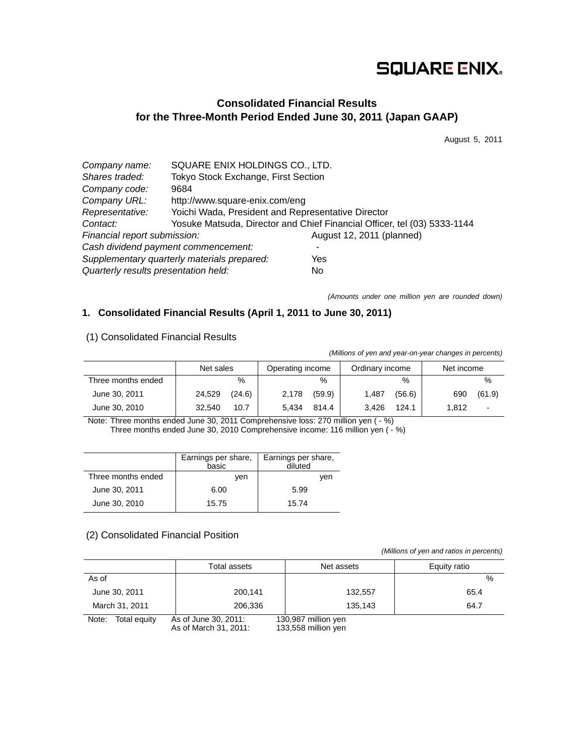# **SQUARE ENIX.**

# **Consolidated Financial Results for the Three-Month Period Ended June 30, 2011 (Japan GAAP)**

August 5, 2011

| Company name:                        | SQUARE ENIX HOLDINGS CO., LTD.                     |                                                                          |  |  |
|--------------------------------------|----------------------------------------------------|--------------------------------------------------------------------------|--|--|
| Shares traded:                       | Tokyo Stock Exchange, First Section                |                                                                          |  |  |
| Company code:                        | 9684                                               |                                                                          |  |  |
| Company URL:                         | http://www.square-enix.com/eng                     |                                                                          |  |  |
| Representative:                      | Yoichi Wada, President and Representative Director |                                                                          |  |  |
| Contact:                             |                                                    | Yosuke Matsuda, Director and Chief Financial Officer, tel (03) 5333-1144 |  |  |
| Financial report submission:         |                                                    | August 12, 2011 (planned)                                                |  |  |
|                                      | Cash dividend payment commencement:                |                                                                          |  |  |
|                                      | Supplementary quarterly materials prepared:        | Yes                                                                      |  |  |
| Quarterly results presentation held: |                                                    | <b>No</b>                                                                |  |  |

*(Amounts under one million yen are rounded down)* 

# **1. Consolidated Financial Results (April 1, 2011 to June 30, 2011)**

| (                  |           |        |                  |        |                 |        |            |                |
|--------------------|-----------|--------|------------------|--------|-----------------|--------|------------|----------------|
|                    | Net sales |        | Operating income |        | Ordinary income |        | Net income |                |
| Three months ended |           | $\%$   |                  | $\%$   |                 | $\%$   |            | %              |
| June 30, 2011      | 24,529    | (24.6) | 2,178            | (59.9) | 1,487           | (56.6) | 690        | (61.9)         |
| June 30, 2010      | 32.540    | 10.7   | 5.434            | 814.4  | 3.426           | 124.1  | 1.812      | $\blacksquare$ |

(1) Consolidated Financial Results

*(Millions of yen and year-on-year changes in percents)*

Note: Three months ended June 30, 2011 Comprehensive loss: 270 million yen ( - %) Three months ended June 30, 2010 Comprehensive income: 116 million yen ( $-$ %)

|                    | Earnings per share,<br>basic | Earnings per share,<br>diluted |
|--------------------|------------------------------|--------------------------------|
| Three months ended | ven                          | ven                            |
| June 30, 2011      | 6.00                         | 5.99                           |
| June 30, 2010      | 15.75                        | 15.74                          |

# (2) Consolidated Financial Position

 *(Millions of yen and ratios in percents)*

|                       | Total assets                                  | Net assets                                 | Equity ratio  |
|-----------------------|-----------------------------------------------|--------------------------------------------|---------------|
| As of                 |                                               |                                            | $\frac{0}{0}$ |
| June 30, 2011         | 200,141                                       | 132.557                                    | 65.4          |
| March 31, 2011        | 206.336                                       | 135.143                                    | 64.7          |
| Note:<br>Total equity | As of June 30, 2011:<br>As of March 31, 2011: | 130,987 million yen<br>133,558 million yen |               |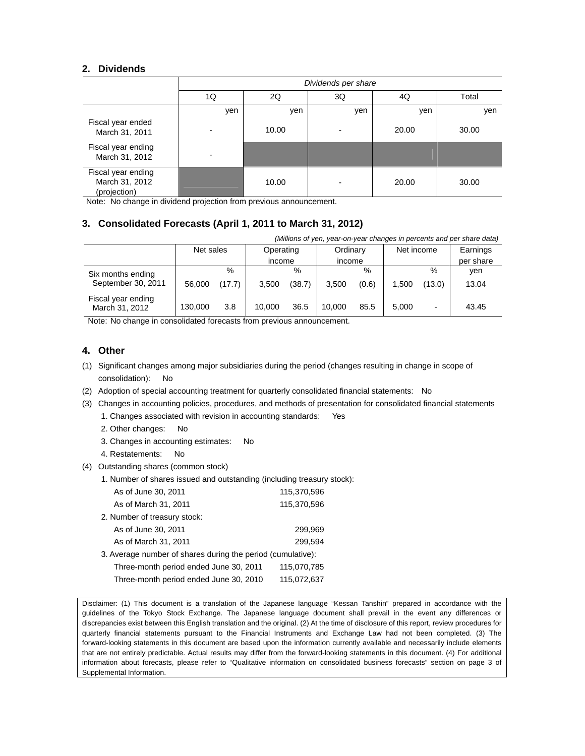### **2. Dividends**

|                                                      | Dividends per share |       |     |       |       |  |
|------------------------------------------------------|---------------------|-------|-----|-------|-------|--|
|                                                      | 1Q                  | 2Q    | 3Q  | 4Q    | Total |  |
|                                                      | yen                 | yen   | yen | yen   | yen   |  |
| Fiscal year ended<br>March 31, 2011                  |                     | 10.00 |     | 20.00 | 30.00 |  |
| Fiscal year ending<br>March 31, 2012                 |                     |       |     |       |       |  |
| Fiscal year ending<br>March 31, 2012<br>(projection) |                     | 10.00 |     | 20.00 | 30.00 |  |

Note: No change in dividend projection from previous announcement.

### **3. Consolidated Forecasts (April 1, 2011 to March 31, 2012)**

| (Millions of yen, year-on-year changes in percents and per share data) |           |        |           |        |          |       |            |        |           |
|------------------------------------------------------------------------|-----------|--------|-----------|--------|----------|-------|------------|--------|-----------|
|                                                                        | Net sales |        | Operating |        | Ordinary |       | Net income |        | Earnings  |
|                                                                        |           |        | income    |        | income   |       |            |        | per share |
| Six months ending                                                      |           | %      |           | %      |          | $\%$  |            | %      | yen       |
| September 30, 2011                                                     | 56,000    | (17.7) | 3.500     | (38.7) | 3.500    | (0.6) | 1.500      | (13.0) | 13.04     |
| Fiscal year ending<br>March 31, 2012                                   | 130.000   | 3.8    | 10.000    | 36.5   | 10.000   | 85.5  | 5.000      |        | 43.45     |

Note: No change in consolidated forecasts from previous announcement.

### **4. Other**

- (1) Significant changes among major subsidiaries during the period (changes resulting in change in scope of consolidation): No
- (2) Adoption of special accounting treatment for quarterly consolidated financial statements: No
- (3) Changes in accounting policies, procedures, and methods of presentation for consolidated financial statements
	- 1. Changes associated with revision in accounting standards: Yes
	- 2. Other changes: No
	- 3. Changes in accounting estimates: No
	- 4. Restatements: No
- (4) Outstanding shares (common stock)
	- 1. Number of shares issued and outstanding (including treasury stock):

| As of March 31, 2011<br>115,370,596                         |  |
|-------------------------------------------------------------|--|
|                                                             |  |
| 2. Number of treasury stock:                                |  |
| As of June 30, 2011<br>299,969                              |  |
| As of March 31, 2011<br>299.594                             |  |
| 3. Average number of shares during the period (cumulative): |  |
| Three-month period ended June 30, 2011<br>115,070,785       |  |
| Three-month period ended June 30, 2010<br>115,072,637       |  |

Disclaimer: (1) This document is a translation of the Japanese language "Kessan Tanshin" prepared in accordance with the guidelines of the Tokyo Stock Exchange. The Japanese language document shall prevail in the event any differences or discrepancies exist between this English translation and the original. (2) At the time of disclosure of this report, review procedures for quarterly financial statements pursuant to the Financial Instruments and Exchange Law had not been completed. (3) The forward-looking statements in this document are based upon the information currently available and necessarily include elements that are not entirely predictable. Actual results may differ from the forward-looking statements in this document. (4) For additional information about forecasts, please refer to "Qualitative information on consolidated business forecasts" section on page 3 of Supplemental Information.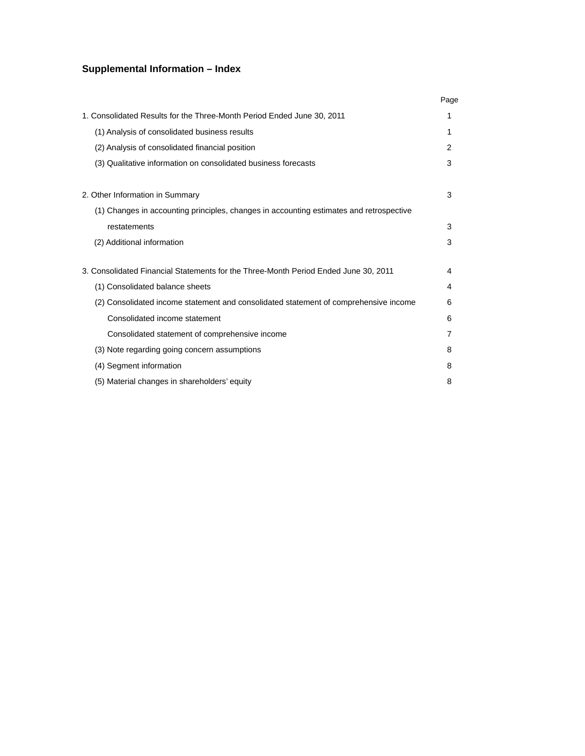# **Supplemental Information – Index**

|                                                                                         | Page |
|-----------------------------------------------------------------------------------------|------|
| 1. Consolidated Results for the Three-Month Period Ended June 30, 2011                  | 1    |
| (1) Analysis of consolidated business results                                           | 1    |
| (2) Analysis of consolidated financial position                                         | 2    |
| (3) Qualitative information on consolidated business forecasts                          | 3    |
| 2. Other Information in Summary                                                         | 3    |
| (1) Changes in accounting principles, changes in accounting estimates and retrospective |      |
| restatements                                                                            | 3    |
| (2) Additional information                                                              | 3    |
| 3. Consolidated Financial Statements for the Three-Month Period Ended June 30, 2011     | 4    |
| (1) Consolidated balance sheets                                                         | 4    |
| (2) Consolidated income statement and consolidated statement of comprehensive income    | 6    |
| Consolidated income statement                                                           | 6    |
| Consolidated statement of comprehensive income                                          | 7    |
| (3) Note regarding going concern assumptions                                            | 8    |
| (4) Segment information                                                                 | 8    |
| (5) Material changes in shareholders' equity                                            | 8    |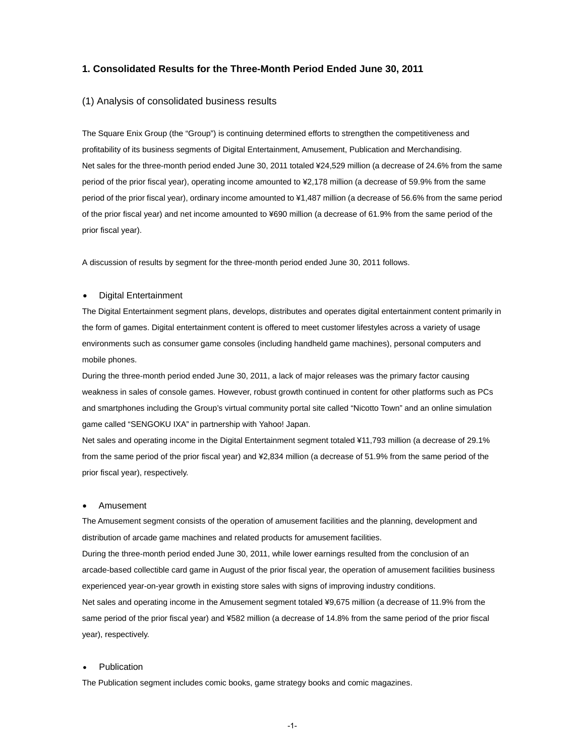#### **1. Consolidated Results for the Three-Month Period Ended June 30, 2011**

#### (1) Analysis of consolidated business results

The Square Enix Group (the "Group") is continuing determined efforts to strengthen the competitiveness and profitability of its business segments of Digital Entertainment, Amusement, Publication and Merchandising. Net sales for the three-month period ended June 30, 2011 totaled ¥24,529 million (a decrease of 24.6% from the same period of the prior fiscal year), operating income amounted to ¥2,178 million (a decrease of 59.9% from the same period of the prior fiscal year), ordinary income amounted to ¥1,487 million (a decrease of 56.6% from the same period of the prior fiscal year) and net income amounted to ¥690 million (a decrease of 61.9% from the same period of the prior fiscal year).

A discussion of results by segment for the three-month period ended June 30, 2011 follows.

#### Digital Entertainment

The Digital Entertainment segment plans, develops, distributes and operates digital entertainment content primarily in the form of games. Digital entertainment content is offered to meet customer lifestyles across a variety of usage environments such as consumer game consoles (including handheld game machines), personal computers and mobile phones.

During the three-month period ended June 30, 2011, a lack of major releases was the primary factor causing weakness in sales of console games. However, robust growth continued in content for other platforms such as PCs and smartphones including the Group's virtual community portal site called "Nicotto Town" and an online simulation game called "SENGOKU IXA" in partnership with Yahoo! Japan.

Net sales and operating income in the Digital Entertainment segment totaled ¥11,793 million (a decrease of 29.1% from the same period of the prior fiscal year) and ¥2,834 million (a decrease of 51.9% from the same period of the prior fiscal year), respectively.

#### Amusement

The Amusement segment consists of the operation of amusement facilities and the planning, development and distribution of arcade game machines and related products for amusement facilities.

During the three-month period ended June 30, 2011, while lower earnings resulted from the conclusion of an arcade-based collectible card game in August of the prior fiscal year, the operation of amusement facilities business experienced year-on-year growth in existing store sales with signs of improving industry conditions.

Net sales and operating income in the Amusement segment totaled ¥9,675 million (a decrease of 11.9% from the same period of the prior fiscal year) and ¥582 million (a decrease of 14.8% from the same period of the prior fiscal year), respectively.

#### **Publication**

The Publication segment includes comic books, game strategy books and comic magazines.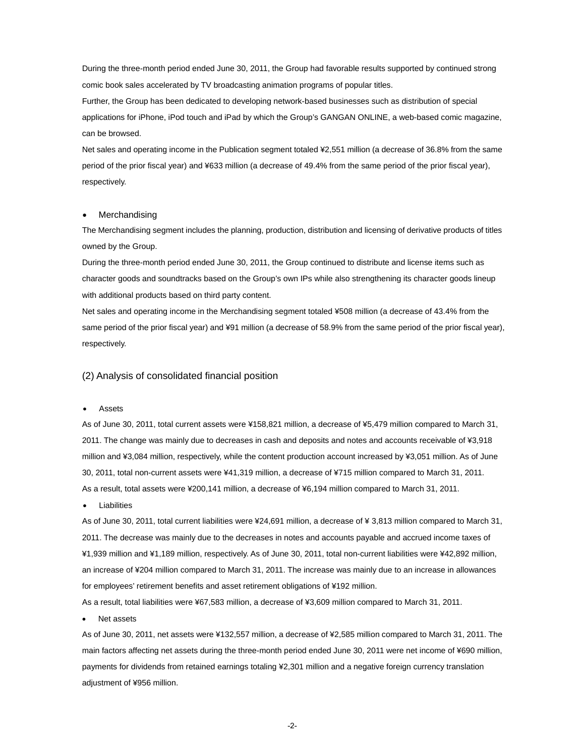During the three-month period ended June 30, 2011, the Group had favorable results supported by continued strong comic book sales accelerated by TV broadcasting animation programs of popular titles.

Further, the Group has been dedicated to developing network-based businesses such as distribution of special applications for iPhone, iPod touch and iPad by which the Group's GANGAN ONLINE, a web-based comic magazine, can be browsed.

Net sales and operating income in the Publication segment totaled ¥2,551 million (a decrease of 36.8% from the same period of the prior fiscal year) and ¥633 million (a decrease of 49.4% from the same period of the prior fiscal year), respectively.

#### Merchandising

The Merchandising segment includes the planning, production, distribution and licensing of derivative products of titles owned by the Group.

During the three-month period ended June 30, 2011, the Group continued to distribute and license items such as character goods and soundtracks based on the Group's own IPs while also strengthening its character goods lineup with additional products based on third party content.

Net sales and operating income in the Merchandising segment totaled ¥508 million (a decrease of 43.4% from the same period of the prior fiscal year) and ¥91 million (a decrease of 58.9% from the same period of the prior fiscal year), respectively.

#### (2) Analysis of consolidated financial position

#### Assets

As of June 30, 2011, total current assets were ¥158,821 million, a decrease of ¥5,479 million compared to March 31, 2011. The change was mainly due to decreases in cash and deposits and notes and accounts receivable of ¥3,918 million and ¥3,084 million, respectively, while the content production account increased by ¥3,051 million. As of June 30, 2011, total non-current assets were ¥41,319 million, a decrease of ¥715 million compared to March 31, 2011. As a result, total assets were ¥200,141 million, a decrease of ¥6,194 million compared to March 31, 2011.

Liabilities

As of June 30, 2011, total current liabilities were ¥24,691 million, a decrease of ¥ 3,813 million compared to March 31, 2011. The decrease was mainly due to the decreases in notes and accounts payable and accrued income taxes of ¥1,939 million and ¥1,189 million, respectively. As of June 30, 2011, total non-current liabilities were ¥42,892 million, an increase of ¥204 million compared to March 31, 2011. The increase was mainly due to an increase in allowances for employees' retirement benefits and asset retirement obligations of ¥192 million.

As a result, total liabilities were ¥67,583 million, a decrease of ¥3,609 million compared to March 31, 2011.

#### Net assets

As of June 30, 2011, net assets were ¥132,557 million, a decrease of ¥2,585 million compared to March 31, 2011. The main factors affecting net assets during the three-month period ended June 30, 2011 were net income of ¥690 million, payments for dividends from retained earnings totaling ¥2,301 million and a negative foreign currency translation adjustment of ¥956 million.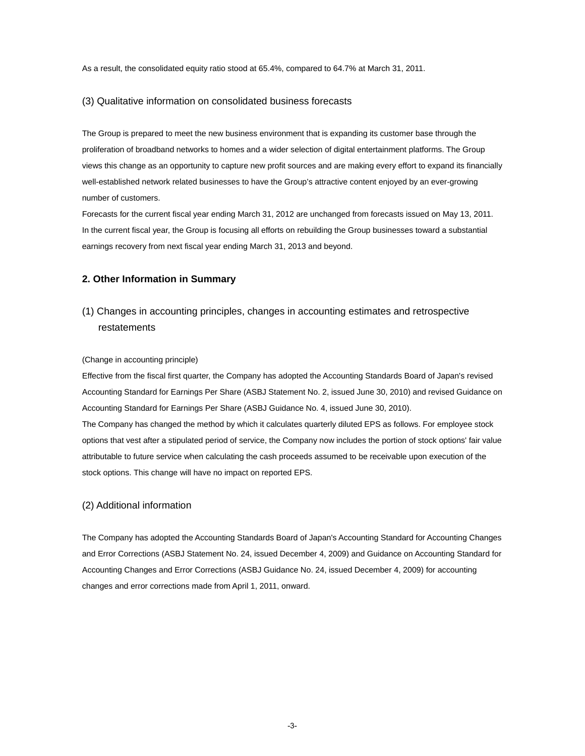As a result, the consolidated equity ratio stood at 65.4%, compared to 64.7% at March 31, 2011.

#### (3) Qualitative information on consolidated business forecasts

The Group is prepared to meet the new business environment that is expanding its customer base through the proliferation of broadband networks to homes and a wider selection of digital entertainment platforms. The Group views this change as an opportunity to capture new profit sources and are making every effort to expand its financially well-established network related businesses to have the Group's attractive content enjoyed by an ever-growing number of customers.

Forecasts for the current fiscal year ending March 31, 2012 are unchanged from forecasts issued on May 13, 2011. In the current fiscal year, the Group is focusing all efforts on rebuilding the Group businesses toward a substantial earnings recovery from next fiscal year ending March 31, 2013 and beyond.

### **2. Other Information in Summary**

# (1) Changes in accounting principles, changes in accounting estimates and retrospective restatements

(Change in accounting principle)

Effective from the fiscal first quarter, the Company has adopted the Accounting Standards Board of Japan's revised Accounting Standard for Earnings Per Share (ASBJ Statement No. 2, issued June 30, 2010) and revised Guidance on Accounting Standard for Earnings Per Share (ASBJ Guidance No. 4, issued June 30, 2010).

The Company has changed the method by which it calculates quarterly diluted EPS as follows. For employee stock options that vest after a stipulated period of service, the Company now includes the portion of stock options' fair value attributable to future service when calculating the cash proceeds assumed to be receivable upon execution of the stock options. This change will have no impact on reported EPS.

#### (2) Additional information

The Company has adopted the Accounting Standards Board of Japan's Accounting Standard for Accounting Changes and Error Corrections (ASBJ Statement No. 24, issued December 4, 2009) and Guidance on Accounting Standard for Accounting Changes and Error Corrections (ASBJ Guidance No. 24, issued December 4, 2009) for accounting changes and error corrections made from April 1, 2011, onward.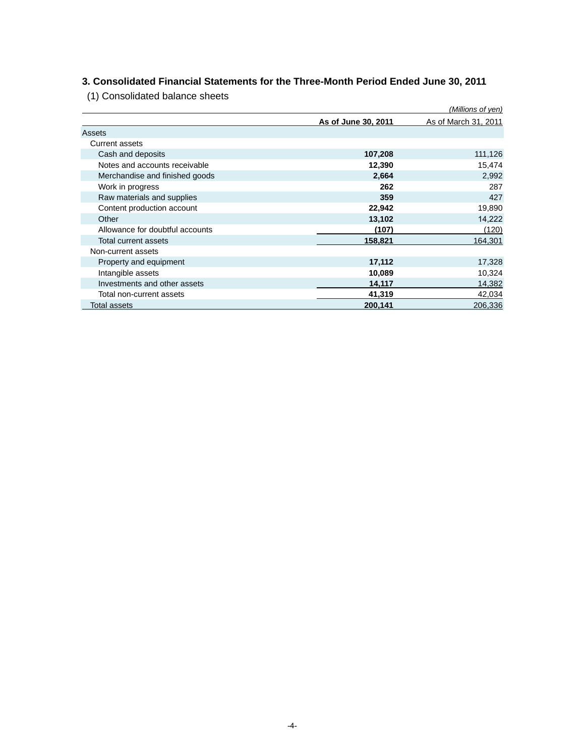# **3. Consolidated Financial Statements for the Three-Month Period Ended June 30, 2011**

(1) Consolidated balance sheets

|                                 |                     | (Millions of yen)    |
|---------------------------------|---------------------|----------------------|
|                                 | As of June 30, 2011 | As of March 31, 2011 |
| Assets                          |                     |                      |
| <b>Current assets</b>           |                     |                      |
| Cash and deposits               | 107,208             | 111,126              |
| Notes and accounts receivable   | 12,390              | 15,474               |
| Merchandise and finished goods  | 2,664               | 2,992                |
| Work in progress                | 262                 | 287                  |
| Raw materials and supplies      | 359                 | 427                  |
| Content production account      | 22,942              | 19,890               |
| Other                           | 13,102              | 14,222               |
| Allowance for doubtful accounts | (107)               | (120)                |
| Total current assets            | 158,821             | 164,301              |
| Non-current assets              |                     |                      |
| Property and equipment          | 17,112              | 17,328               |
| Intangible assets               | 10,089              | 10,324               |
| Investments and other assets    | 14,117              | 14,382               |
| Total non-current assets        | 41,319              | 42,034               |
| <b>Total assets</b>             | 200,141             | 206,336              |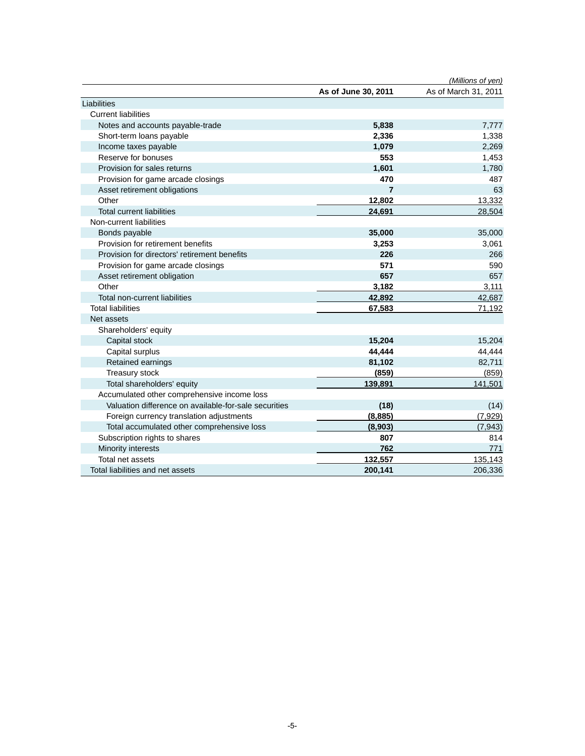|                                                       |                     | (Millions of yen)    |
|-------------------------------------------------------|---------------------|----------------------|
|                                                       | As of June 30, 2011 | As of March 31, 2011 |
| Liabilities                                           |                     |                      |
| <b>Current liabilities</b>                            |                     |                      |
| Notes and accounts payable-trade                      | 5,838               | 7,777                |
| Short-term loans payable                              | 2,336               | 1,338                |
| Income taxes payable                                  | 1,079               | 2,269                |
| Reserve for bonuses                                   | 553                 | 1,453                |
| Provision for sales returns                           | 1,601               | 1,780                |
| Provision for game arcade closings                    | 470                 | 487                  |
| Asset retirement obligations                          | $\overline{7}$      | 63                   |
| Other                                                 | 12,802              | 13,332               |
| <b>Total current liabilities</b>                      | 24,691              | 28,504               |
| Non-current liabilities                               |                     |                      |
| Bonds payable                                         | 35,000              | 35,000               |
| Provision for retirement benefits                     | 3,253               | 3,061                |
| Provision for directors' retirement benefits          | 226                 | 266                  |
| Provision for game arcade closings                    | 571                 | 590                  |
| Asset retirement obligation                           | 657                 | 657                  |
| Other                                                 | 3,182               | 3,111                |
| Total non-current liabilities                         | 42,892              | 42,687               |
| <b>Total liabilities</b>                              | 67,583              | 71,192               |
| Net assets                                            |                     |                      |
| Shareholders' equity                                  |                     |                      |
| Capital stock                                         | 15,204              | 15,204               |
| Capital surplus                                       | 44,444              | 44,444               |
| Retained earnings                                     | 81,102              | 82,711               |
| Treasury stock                                        | (859)               | (859)                |
| Total shareholders' equity                            | 139,891             | 141,501              |
| Accumulated other comprehensive income loss           |                     |                      |
| Valuation difference on available-for-sale securities | (18)                | (14)                 |
| Foreign currency translation adjustments              | (8,885)             | (7,929)              |
| Total accumulated other comprehensive loss            | (8,903)             | (7, 943)             |
| Subscription rights to shares                         | 807                 | 814                  |
| Minority interests                                    | 762                 | 771                  |
| Total net assets                                      | 132,557             | 135,143              |
| Total liabilities and net assets                      | 200,141             | 206,336              |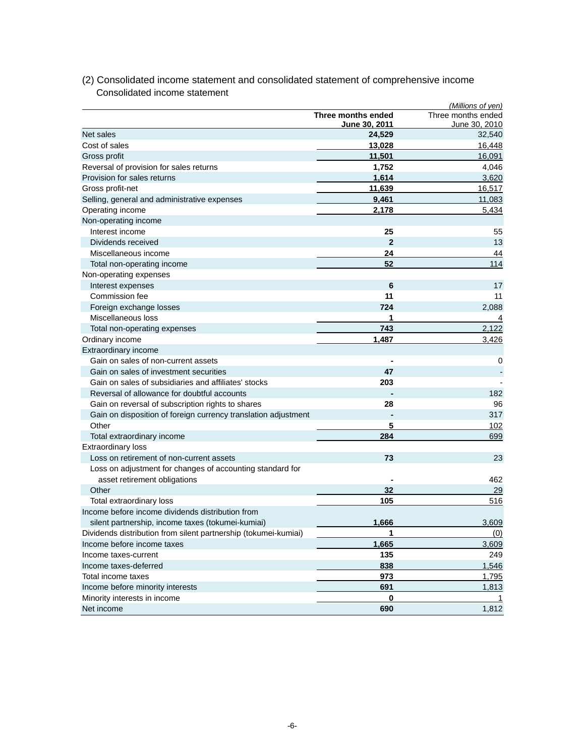| June 30, 2010<br><u>June 30, 2011</u><br>Net sales<br>24,529<br>Cost of sales<br>13,028<br>16,448<br>11,501<br>Gross profit<br>16,091<br>Reversal of provision for sales returns<br>1,752<br>4,046<br>Provision for sales returns<br>1,614<br>3,620<br>Gross profit-net<br>11,639<br>16,517<br>9,461<br>Selling, general and administrative expenses<br>Operating income<br>2,178<br>5,434<br>Non-operating income<br>Interest income<br>25<br>55<br>Dividends received<br>$\mathbf{2}$<br>13<br>Miscellaneous income<br>44<br>24<br>52<br>114<br>Total non-operating income<br>Non-operating expenses<br>6<br>17<br>Interest expenses<br>Commission fee<br>11<br>11<br>Foreign exchange losses<br>724<br>2,088<br>Miscellaneous loss<br>1<br>4<br>2,122<br>743<br>Total non-operating expenses<br>3,426<br>Ordinary income<br>1.487<br>Extraordinary income<br>Gain on sales of non-current assets<br>0<br>47<br>Gain on sales of investment securities<br>Gain on sales of subsidiaries and affiliates' stocks<br>203<br>Reversal of allowance for doubtful accounts<br>182<br>Gain on reversal of subscription rights to shares<br>28<br>96<br>Gain on disposition of foreign currency translation adjustment<br>317<br>Other<br>5<br>102<br>284<br>Total extraordinary income<br>699<br><b>Extraordinary loss</b><br>Loss on retirement of non-current assets<br>73<br>23<br>Loss on adjustment for changes of accounting standard for<br>asset retirement obligations<br>462<br>Other<br>32<br>29<br>Total extraordinary loss<br>516<br>105<br>Income before income dividends distribution from<br>silent partnership, income taxes (tokumei-kumiai)<br>1,666<br>3,609<br>Dividends distribution from silent partnership (tokumei-kumiai)<br>Income before income taxes<br>1,665<br>135<br>Income taxes-current<br>838<br>Income taxes-deferred<br>Total income taxes<br>973<br>Income before minority interests<br>691<br>Minority interests in income<br>0<br>Net income<br>690 |                    | (Millions of yen)  |
|----------------------------------------------------------------------------------------------------------------------------------------------------------------------------------------------------------------------------------------------------------------------------------------------------------------------------------------------------------------------------------------------------------------------------------------------------------------------------------------------------------------------------------------------------------------------------------------------------------------------------------------------------------------------------------------------------------------------------------------------------------------------------------------------------------------------------------------------------------------------------------------------------------------------------------------------------------------------------------------------------------------------------------------------------------------------------------------------------------------------------------------------------------------------------------------------------------------------------------------------------------------------------------------------------------------------------------------------------------------------------------------------------------------------------------------------------------------------------------------------------------------------------------------------------------------------------------------------------------------------------------------------------------------------------------------------------------------------------------------------------------------------------------------------------------------------------------------------------------------------------------------------------------------------------------------------------------------------------------------|--------------------|--------------------|
| 32,540<br>11,083<br><u>(0)</u><br>3,609<br>249<br>1,546<br>1,795<br>1,813<br>1,812                                                                                                                                                                                                                                                                                                                                                                                                                                                                                                                                                                                                                                                                                                                                                                                                                                                                                                                                                                                                                                                                                                                                                                                                                                                                                                                                                                                                                                                                                                                                                                                                                                                                                                                                                                                                                                                                                                     | Three months ended | Three months ended |
|                                                                                                                                                                                                                                                                                                                                                                                                                                                                                                                                                                                                                                                                                                                                                                                                                                                                                                                                                                                                                                                                                                                                                                                                                                                                                                                                                                                                                                                                                                                                                                                                                                                                                                                                                                                                                                                                                                                                                                                        |                    |                    |
|                                                                                                                                                                                                                                                                                                                                                                                                                                                                                                                                                                                                                                                                                                                                                                                                                                                                                                                                                                                                                                                                                                                                                                                                                                                                                                                                                                                                                                                                                                                                                                                                                                                                                                                                                                                                                                                                                                                                                                                        |                    |                    |
|                                                                                                                                                                                                                                                                                                                                                                                                                                                                                                                                                                                                                                                                                                                                                                                                                                                                                                                                                                                                                                                                                                                                                                                                                                                                                                                                                                                                                                                                                                                                                                                                                                                                                                                                                                                                                                                                                                                                                                                        |                    |                    |
|                                                                                                                                                                                                                                                                                                                                                                                                                                                                                                                                                                                                                                                                                                                                                                                                                                                                                                                                                                                                                                                                                                                                                                                                                                                                                                                                                                                                                                                                                                                                                                                                                                                                                                                                                                                                                                                                                                                                                                                        |                    |                    |
|                                                                                                                                                                                                                                                                                                                                                                                                                                                                                                                                                                                                                                                                                                                                                                                                                                                                                                                                                                                                                                                                                                                                                                                                                                                                                                                                                                                                                                                                                                                                                                                                                                                                                                                                                                                                                                                                                                                                                                                        |                    |                    |
|                                                                                                                                                                                                                                                                                                                                                                                                                                                                                                                                                                                                                                                                                                                                                                                                                                                                                                                                                                                                                                                                                                                                                                                                                                                                                                                                                                                                                                                                                                                                                                                                                                                                                                                                                                                                                                                                                                                                                                                        |                    |                    |
|                                                                                                                                                                                                                                                                                                                                                                                                                                                                                                                                                                                                                                                                                                                                                                                                                                                                                                                                                                                                                                                                                                                                                                                                                                                                                                                                                                                                                                                                                                                                                                                                                                                                                                                                                                                                                                                                                                                                                                                        |                    |                    |
|                                                                                                                                                                                                                                                                                                                                                                                                                                                                                                                                                                                                                                                                                                                                                                                                                                                                                                                                                                                                                                                                                                                                                                                                                                                                                                                                                                                                                                                                                                                                                                                                                                                                                                                                                                                                                                                                                                                                                                                        |                    |                    |
|                                                                                                                                                                                                                                                                                                                                                                                                                                                                                                                                                                                                                                                                                                                                                                                                                                                                                                                                                                                                                                                                                                                                                                                                                                                                                                                                                                                                                                                                                                                                                                                                                                                                                                                                                                                                                                                                                                                                                                                        |                    |                    |
|                                                                                                                                                                                                                                                                                                                                                                                                                                                                                                                                                                                                                                                                                                                                                                                                                                                                                                                                                                                                                                                                                                                                                                                                                                                                                                                                                                                                                                                                                                                                                                                                                                                                                                                                                                                                                                                                                                                                                                                        |                    |                    |
|                                                                                                                                                                                                                                                                                                                                                                                                                                                                                                                                                                                                                                                                                                                                                                                                                                                                                                                                                                                                                                                                                                                                                                                                                                                                                                                                                                                                                                                                                                                                                                                                                                                                                                                                                                                                                                                                                                                                                                                        |                    |                    |
|                                                                                                                                                                                                                                                                                                                                                                                                                                                                                                                                                                                                                                                                                                                                                                                                                                                                                                                                                                                                                                                                                                                                                                                                                                                                                                                                                                                                                                                                                                                                                                                                                                                                                                                                                                                                                                                                                                                                                                                        |                    |                    |
|                                                                                                                                                                                                                                                                                                                                                                                                                                                                                                                                                                                                                                                                                                                                                                                                                                                                                                                                                                                                                                                                                                                                                                                                                                                                                                                                                                                                                                                                                                                                                                                                                                                                                                                                                                                                                                                                                                                                                                                        |                    |                    |
|                                                                                                                                                                                                                                                                                                                                                                                                                                                                                                                                                                                                                                                                                                                                                                                                                                                                                                                                                                                                                                                                                                                                                                                                                                                                                                                                                                                                                                                                                                                                                                                                                                                                                                                                                                                                                                                                                                                                                                                        |                    |                    |
|                                                                                                                                                                                                                                                                                                                                                                                                                                                                                                                                                                                                                                                                                                                                                                                                                                                                                                                                                                                                                                                                                                                                                                                                                                                                                                                                                                                                                                                                                                                                                                                                                                                                                                                                                                                                                                                                                                                                                                                        |                    |                    |
|                                                                                                                                                                                                                                                                                                                                                                                                                                                                                                                                                                                                                                                                                                                                                                                                                                                                                                                                                                                                                                                                                                                                                                                                                                                                                                                                                                                                                                                                                                                                                                                                                                                                                                                                                                                                                                                                                                                                                                                        |                    |                    |
|                                                                                                                                                                                                                                                                                                                                                                                                                                                                                                                                                                                                                                                                                                                                                                                                                                                                                                                                                                                                                                                                                                                                                                                                                                                                                                                                                                                                                                                                                                                                                                                                                                                                                                                                                                                                                                                                                                                                                                                        |                    |                    |
|                                                                                                                                                                                                                                                                                                                                                                                                                                                                                                                                                                                                                                                                                                                                                                                                                                                                                                                                                                                                                                                                                                                                                                                                                                                                                                                                                                                                                                                                                                                                                                                                                                                                                                                                                                                                                                                                                                                                                                                        |                    |                    |
|                                                                                                                                                                                                                                                                                                                                                                                                                                                                                                                                                                                                                                                                                                                                                                                                                                                                                                                                                                                                                                                                                                                                                                                                                                                                                                                                                                                                                                                                                                                                                                                                                                                                                                                                                                                                                                                                                                                                                                                        |                    |                    |
|                                                                                                                                                                                                                                                                                                                                                                                                                                                                                                                                                                                                                                                                                                                                                                                                                                                                                                                                                                                                                                                                                                                                                                                                                                                                                                                                                                                                                                                                                                                                                                                                                                                                                                                                                                                                                                                                                                                                                                                        |                    |                    |
|                                                                                                                                                                                                                                                                                                                                                                                                                                                                                                                                                                                                                                                                                                                                                                                                                                                                                                                                                                                                                                                                                                                                                                                                                                                                                                                                                                                                                                                                                                                                                                                                                                                                                                                                                                                                                                                                                                                                                                                        |                    |                    |
|                                                                                                                                                                                                                                                                                                                                                                                                                                                                                                                                                                                                                                                                                                                                                                                                                                                                                                                                                                                                                                                                                                                                                                                                                                                                                                                                                                                                                                                                                                                                                                                                                                                                                                                                                                                                                                                                                                                                                                                        |                    |                    |
|                                                                                                                                                                                                                                                                                                                                                                                                                                                                                                                                                                                                                                                                                                                                                                                                                                                                                                                                                                                                                                                                                                                                                                                                                                                                                                                                                                                                                                                                                                                                                                                                                                                                                                                                                                                                                                                                                                                                                                                        |                    |                    |
|                                                                                                                                                                                                                                                                                                                                                                                                                                                                                                                                                                                                                                                                                                                                                                                                                                                                                                                                                                                                                                                                                                                                                                                                                                                                                                                                                                                                                                                                                                                                                                                                                                                                                                                                                                                                                                                                                                                                                                                        |                    |                    |
|                                                                                                                                                                                                                                                                                                                                                                                                                                                                                                                                                                                                                                                                                                                                                                                                                                                                                                                                                                                                                                                                                                                                                                                                                                                                                                                                                                                                                                                                                                                                                                                                                                                                                                                                                                                                                                                                                                                                                                                        |                    |                    |
|                                                                                                                                                                                                                                                                                                                                                                                                                                                                                                                                                                                                                                                                                                                                                                                                                                                                                                                                                                                                                                                                                                                                                                                                                                                                                                                                                                                                                                                                                                                                                                                                                                                                                                                                                                                                                                                                                                                                                                                        |                    |                    |
|                                                                                                                                                                                                                                                                                                                                                                                                                                                                                                                                                                                                                                                                                                                                                                                                                                                                                                                                                                                                                                                                                                                                                                                                                                                                                                                                                                                                                                                                                                                                                                                                                                                                                                                                                                                                                                                                                                                                                                                        |                    |                    |
|                                                                                                                                                                                                                                                                                                                                                                                                                                                                                                                                                                                                                                                                                                                                                                                                                                                                                                                                                                                                                                                                                                                                                                                                                                                                                                                                                                                                                                                                                                                                                                                                                                                                                                                                                                                                                                                                                                                                                                                        |                    |                    |
|                                                                                                                                                                                                                                                                                                                                                                                                                                                                                                                                                                                                                                                                                                                                                                                                                                                                                                                                                                                                                                                                                                                                                                                                                                                                                                                                                                                                                                                                                                                                                                                                                                                                                                                                                                                                                                                                                                                                                                                        |                    |                    |
|                                                                                                                                                                                                                                                                                                                                                                                                                                                                                                                                                                                                                                                                                                                                                                                                                                                                                                                                                                                                                                                                                                                                                                                                                                                                                                                                                                                                                                                                                                                                                                                                                                                                                                                                                                                                                                                                                                                                                                                        |                    |                    |
|                                                                                                                                                                                                                                                                                                                                                                                                                                                                                                                                                                                                                                                                                                                                                                                                                                                                                                                                                                                                                                                                                                                                                                                                                                                                                                                                                                                                                                                                                                                                                                                                                                                                                                                                                                                                                                                                                                                                                                                        |                    |                    |
|                                                                                                                                                                                                                                                                                                                                                                                                                                                                                                                                                                                                                                                                                                                                                                                                                                                                                                                                                                                                                                                                                                                                                                                                                                                                                                                                                                                                                                                                                                                                                                                                                                                                                                                                                                                                                                                                                                                                                                                        |                    |                    |
|                                                                                                                                                                                                                                                                                                                                                                                                                                                                                                                                                                                                                                                                                                                                                                                                                                                                                                                                                                                                                                                                                                                                                                                                                                                                                                                                                                                                                                                                                                                                                                                                                                                                                                                                                                                                                                                                                                                                                                                        |                    |                    |
|                                                                                                                                                                                                                                                                                                                                                                                                                                                                                                                                                                                                                                                                                                                                                                                                                                                                                                                                                                                                                                                                                                                                                                                                                                                                                                                                                                                                                                                                                                                                                                                                                                                                                                                                                                                                                                                                                                                                                                                        |                    |                    |
|                                                                                                                                                                                                                                                                                                                                                                                                                                                                                                                                                                                                                                                                                                                                                                                                                                                                                                                                                                                                                                                                                                                                                                                                                                                                                                                                                                                                                                                                                                                                                                                                                                                                                                                                                                                                                                                                                                                                                                                        |                    |                    |
|                                                                                                                                                                                                                                                                                                                                                                                                                                                                                                                                                                                                                                                                                                                                                                                                                                                                                                                                                                                                                                                                                                                                                                                                                                                                                                                                                                                                                                                                                                                                                                                                                                                                                                                                                                                                                                                                                                                                                                                        |                    |                    |
|                                                                                                                                                                                                                                                                                                                                                                                                                                                                                                                                                                                                                                                                                                                                                                                                                                                                                                                                                                                                                                                                                                                                                                                                                                                                                                                                                                                                                                                                                                                                                                                                                                                                                                                                                                                                                                                                                                                                                                                        |                    |                    |
|                                                                                                                                                                                                                                                                                                                                                                                                                                                                                                                                                                                                                                                                                                                                                                                                                                                                                                                                                                                                                                                                                                                                                                                                                                                                                                                                                                                                                                                                                                                                                                                                                                                                                                                                                                                                                                                                                                                                                                                        |                    |                    |
|                                                                                                                                                                                                                                                                                                                                                                                                                                                                                                                                                                                                                                                                                                                                                                                                                                                                                                                                                                                                                                                                                                                                                                                                                                                                                                                                                                                                                                                                                                                                                                                                                                                                                                                                                                                                                                                                                                                                                                                        |                    |                    |
|                                                                                                                                                                                                                                                                                                                                                                                                                                                                                                                                                                                                                                                                                                                                                                                                                                                                                                                                                                                                                                                                                                                                                                                                                                                                                                                                                                                                                                                                                                                                                                                                                                                                                                                                                                                                                                                                                                                                                                                        |                    |                    |
|                                                                                                                                                                                                                                                                                                                                                                                                                                                                                                                                                                                                                                                                                                                                                                                                                                                                                                                                                                                                                                                                                                                                                                                                                                                                                                                                                                                                                                                                                                                                                                                                                                                                                                                                                                                                                                                                                                                                                                                        |                    |                    |
|                                                                                                                                                                                                                                                                                                                                                                                                                                                                                                                                                                                                                                                                                                                                                                                                                                                                                                                                                                                                                                                                                                                                                                                                                                                                                                                                                                                                                                                                                                                                                                                                                                                                                                                                                                                                                                                                                                                                                                                        |                    |                    |
|                                                                                                                                                                                                                                                                                                                                                                                                                                                                                                                                                                                                                                                                                                                                                                                                                                                                                                                                                                                                                                                                                                                                                                                                                                                                                                                                                                                                                                                                                                                                                                                                                                                                                                                                                                                                                                                                                                                                                                                        |                    |                    |
|                                                                                                                                                                                                                                                                                                                                                                                                                                                                                                                                                                                                                                                                                                                                                                                                                                                                                                                                                                                                                                                                                                                                                                                                                                                                                                                                                                                                                                                                                                                                                                                                                                                                                                                                                                                                                                                                                                                                                                                        |                    |                    |
|                                                                                                                                                                                                                                                                                                                                                                                                                                                                                                                                                                                                                                                                                                                                                                                                                                                                                                                                                                                                                                                                                                                                                                                                                                                                                                                                                                                                                                                                                                                                                                                                                                                                                                                                                                                                                                                                                                                                                                                        |                    |                    |

# (2) Consolidated income statement and consolidated statement of comprehensive income Consolidated income statement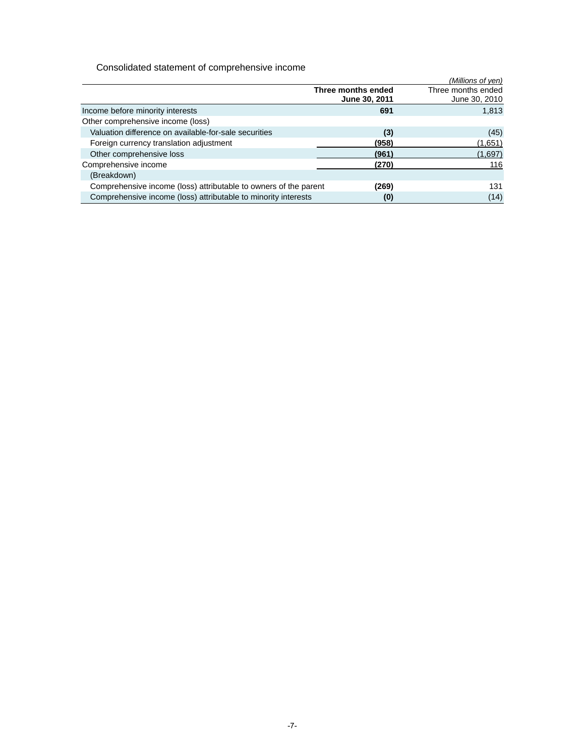Consolidated statement of comprehensive income

|                                                                  |                                     | (Millions of yen)                   |
|------------------------------------------------------------------|-------------------------------------|-------------------------------------|
|                                                                  | Three months ended<br>June 30, 2011 | Three months ended<br>June 30, 2010 |
| Income before minority interests                                 | 691                                 | 1,813                               |
| Other comprehensive income (loss)                                |                                     |                                     |
| Valuation difference on available-for-sale securities            | (3)                                 | (45)                                |
| Foreign currency translation adjustment                          | (958)                               | (1,651)                             |
| Other comprehensive loss                                         | (961)                               | (1,697)                             |
| Comprehensive income                                             | (270)                               | 116                                 |
| (Breakdown)                                                      |                                     |                                     |
| Comprehensive income (loss) attributable to owners of the parent | (269)                               | 131                                 |
| Comprehensive income (loss) attributable to minority interests   | (0)                                 | (14)                                |